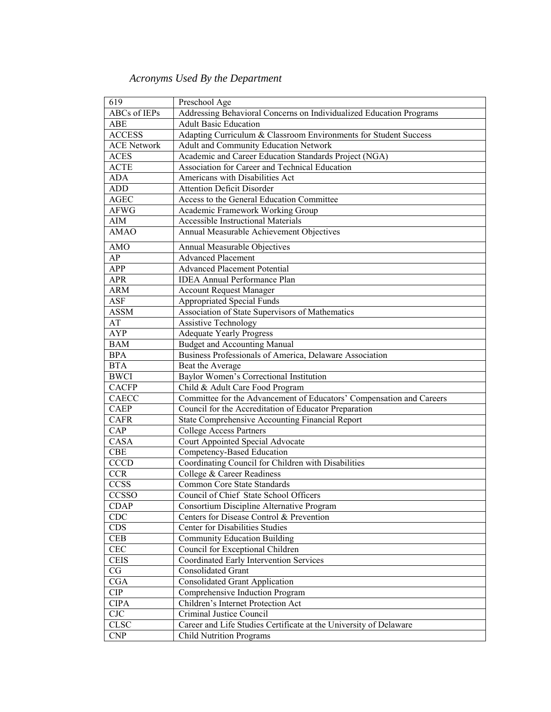## *Acronyms Used By the Department*

| 619                 | Preschool Age                                                        |
|---------------------|----------------------------------------------------------------------|
| <b>ABCs</b> of IEPs | Addressing Behavioral Concerns on Individualized Education Programs  |
| ABE                 | <b>Adult Basic Education</b>                                         |
| <b>ACCESS</b>       | Adapting Curriculum & Classroom Environments for Student Success     |
| <b>ACE Network</b>  | Adult and Community Education Network                                |
| <b>ACES</b>         | Academic and Career Education Standards Project (NGA)                |
| <b>ACTE</b>         | Association for Career and Technical Education                       |
| <b>ADA</b>          | Americans with Disabilities Act                                      |
| <b>ADD</b>          | <b>Attention Deficit Disorder</b>                                    |
| <b>AGEC</b>         | Access to the General Education Committee                            |
| <b>AFWG</b>         | Academic Framework Working Group                                     |
| AIM                 | <b>Accessible Instructional Materials</b>                            |
| <b>AMAO</b>         | Annual Measurable Achievement Objectives                             |
| <b>AMO</b>          | Annual Measurable Objectives                                         |
| AP                  | <b>Advanced Placement</b>                                            |
| <b>APP</b>          | <b>Advanced Placement Potential</b>                                  |
| <b>APR</b>          | <b>IDEA</b> Annual Performance Plan                                  |
| <b>ARM</b>          | <b>Account Request Manager</b>                                       |
| ASF                 | <b>Appropriated Special Funds</b>                                    |
| <b>ASSM</b>         | Association of State Supervisors of Mathematics                      |
| AT                  | <b>Assistive Technology</b>                                          |
| <b>AYP</b>          | <b>Adequate Yearly Progress</b>                                      |
| <b>BAM</b>          | <b>Budget and Accounting Manual</b>                                  |
| <b>BPA</b>          | Business Professionals of America, Delaware Association              |
| <b>BTA</b>          | Beat the Average                                                     |
| <b>BWCI</b>         | Baylor Women's Correctional Institution                              |
| <b>CACFP</b>        | Child & Adult Care Food Program                                      |
| <b>CAECC</b>        | Committee for the Advancement of Educators' Compensation and Careers |
| <b>CAEP</b>         | Council for the Accreditation of Educator Preparation                |
| <b>CAFR</b>         | State Comprehensive Accounting Financial Report                      |
| CAP                 | <b>College Access Partners</b>                                       |
| CASA                | Court Appointed Special Advocate                                     |
| <b>CBE</b>          | Competency-Based Education                                           |
| <b>CCCD</b>         | Coordinating Council for Children with Disabilities                  |
| <b>CCR</b>          | College & Career Readiness                                           |
| <b>CCSS</b>         | Common Core State Standards                                          |
| <b>CCSSO</b>        | Council of Chief State School Officers                               |
| <b>CDAP</b>         | Consortium Discipline Alternative Program                            |
| CDC                 | Centers for Disease Control & Prevention                             |
| <b>CDS</b>          | Center for Disabilities Studies                                      |
| <b>CEB</b>          | <b>Community Education Building</b>                                  |
| CEC                 | Council for Exceptional Children                                     |
| <b>CEIS</b>         | Coordinated Early Intervention Services                              |
| CG                  | Consolidated Grant                                                   |
| CGA                 | <b>Consolidated Grant Application</b>                                |
| <b>CIP</b>          | Comprehensive Induction Program                                      |
| <b>CIPA</b>         | Children's Internet Protection Act                                   |
| CJC                 | Criminal Justice Council                                             |
| <b>CLSC</b>         | Career and Life Studies Certificate at the University of Delaware    |
| <b>CNP</b>          | <b>Child Nutrition Programs</b>                                      |
|                     |                                                                      |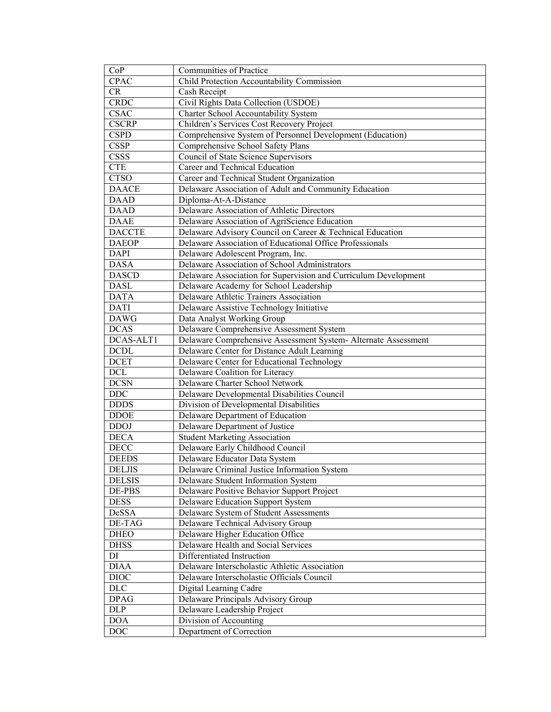| CoP           | Communities of Practice                                         |
|---------------|-----------------------------------------------------------------|
| <b>CPAC</b>   | Child Protection Accountability Commission                      |
| CR            | Cash Receipt                                                    |
| <b>CRDC</b>   | Civil Rights Data Collection (USDOE)                            |
| <b>CSAC</b>   | Charter School Accountability System                            |
| <b>CSCRP</b>  | Children's Services Cost Recovery Project                       |
| <b>CSPD</b>   | Comprehensive System of Personnel Development (Education)       |
| <b>CSSP</b>   | Comprehensive School Safety Plans                               |
| CSSS          | Council of State Science Supervisors                            |
| <b>CTE</b>    | Career and Technical Education                                  |
| <b>CTSO</b>   | Career and Technical Student Organization                       |
| <b>DAACE</b>  | Delaware Association of Adult and Community Education           |
| <b>DAAD</b>   | Diploma-At-A-Distance                                           |
| <b>DAAD</b>   | Delaware Association of Athletic Directors                      |
| <b>DAAE</b>   | Delaware Association of AgriScience Education                   |
| <b>DACCTE</b> | Delaware Advisory Council on Career & Technical Education       |
| <b>DAEOP</b>  | Delaware Association of Educational Office Professionals        |
| <b>DAPI</b>   | Delaware Adolescent Program, Inc.                               |
| <b>DASA</b>   | Delaware Association of School Administrators                   |
| <b>DASCD</b>  | Delaware Association for Supervision and Curriculum Development |
| <b>DASL</b>   | Delaware Academy for School Leadership                          |
| <b>DATA</b>   | Delaware Athletic Trainers Association                          |
| <b>DATI</b>   | Delaware Assistive Technology Initiative                        |
| <b>DAWG</b>   | Data Analyst Working Group                                      |
| <b>DCAS</b>   | Delaware Comprehensive Assessment System                        |
| DCAS-ALT1     | Delaware Comprehensive Assessment System- Alternate Assessment  |
| <b>DCDL</b>   | Delaware Center for Distance Adult Learning                     |
| <b>DCET</b>   | Delaware Center for Educational Technology                      |
| $DCL$         | Delaware Coalition for Literacy                                 |
| <b>DCSN</b>   | Delaware Charter School Network                                 |
| <b>DDC</b>    | Delaware Developmental Disabilities Council                     |
| <b>DDDS</b>   | Division of Developmental Disabilities                          |
| <b>DDOE</b>   | Delaware Department of Education                                |
| <b>DDOJ</b>   | Delaware Department of Justice                                  |
| <b>DECA</b>   | <b>Student Marketing Association</b>                            |
| <b>DECC</b>   | Delaware Early Childhood Council                                |
| <b>DEEDS</b>  | Delaware Educator Data System                                   |
| DELJIS        | Delaware Criminal Justice Information System                    |
| <b>DELSIS</b> | Delaware Student Information System                             |
| DE-PBS        | Delaware Positive Behavior Support Project                      |
| <b>DESS</b>   | Delaware Education Support System                               |
| DeSSA         | Delaware System of Student Assessments                          |
| DE-TAG        | Delaware Technical Advisory Group                               |
| DHEO          | Delaware Higher Education Office                                |
| <b>DHSS</b>   | Delaware Health and Social Services                             |
| DI            | Differentiated Instruction                                      |
| <b>DIAA</b>   | Delaware Interscholastic Athletic Association                   |
| <b>DIOC</b>   | Delaware Interscholastic Officials Council                      |
| $\rm{DLC}$    | Digital Learning Cadre                                          |
| <b>DPAG</b>   | Delaware Principals Advisory Group                              |
| DLP           | Delaware Leadership Project                                     |
| <b>DOA</b>    | Division of Accounting                                          |
| $\rm{DOC}$    | Department of Correction                                        |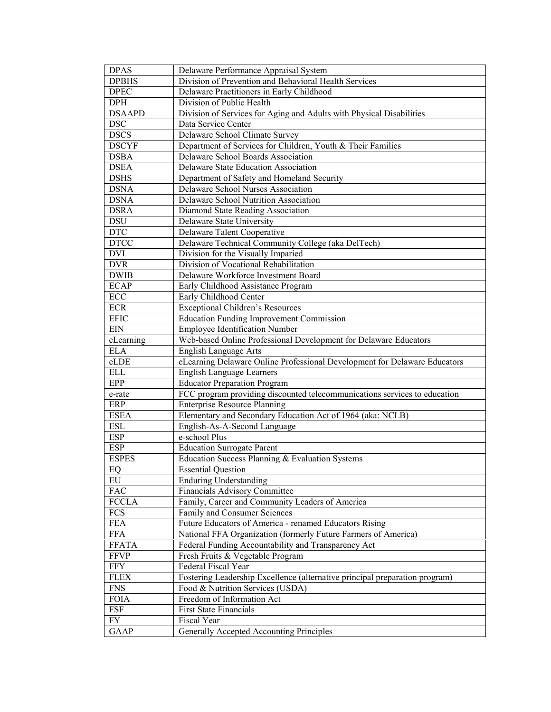| <b>DPAS</b>          | Delaware Performance Appraisal System                                       |
|----------------------|-----------------------------------------------------------------------------|
| <b>DPBHS</b>         | Division of Prevention and Behavioral Health Services                       |
| <b>DPEC</b>          | Delaware Practitioners in Early Childhood                                   |
| <b>DPH</b>           | Division of Public Health                                                   |
| <b>DSAAPD</b>        | Division of Services for Aging and Adults with Physical Disabilities        |
| <b>DSC</b>           | Data Service Center                                                         |
| <b>DSCS</b>          | Delaware School Climate Survey                                              |
| <b>DSCYF</b>         | Department of Services for Children, Youth & Their Families                 |
| <b>DSBA</b>          | Delaware School Boards Association                                          |
| <b>DSEA</b>          | Delaware State Education Association                                        |
| <b>DSHS</b>          | Department of Safety and Homeland Security                                  |
| <b>DSNA</b>          | Delaware School Nurses Association                                          |
| <b>DSNA</b>          | Delaware School Nutrition Association                                       |
| <b>DSRA</b>          | Diamond State Reading Association                                           |
| <b>DSU</b>           | Delaware State University                                                   |
| <b>DTC</b>           | Delaware Talent Cooperative                                                 |
| <b>DTCC</b>          | Delaware Technical Community College (aka DelTech)                          |
| <b>DVI</b>           | Division for the Visually Imparied                                          |
| <b>DVR</b>           | Division of Vocational Rehabilitation                                       |
| <b>DWIB</b>          | Delaware Workforce Investment Board                                         |
| <b>ECAP</b>          | Early Childhood Assistance Program                                          |
| $\operatorname{ECC}$ | Early Childhood Center                                                      |
| <b>ECR</b>           | <b>Exceptional Children's Resources</b>                                     |
| <b>EFIC</b>          | <b>Education Funding Improvement Commission</b>                             |
| <b>EIN</b>           | Employee Identification Number                                              |
| eLearning            | Web-based Online Professional Development for Delaware Educators            |
| <b>ELA</b>           | <b>English Language Arts</b>                                                |
| eLDE                 | eLearning Delaware Online Professional Development for Delaware Educators   |
| <b>ELL</b>           | <b>English Language Learners</b>                                            |
| EPP                  | <b>Educator Preparation Program</b>                                         |
| e-rate               | FCC program providing discounted telecommunications services to education   |
| ERP                  | <b>Enterprise Resource Planning</b>                                         |
| <b>ESEA</b>          | Elementary and Secondary Education Act of 1964 (aka: NCLB)                  |
| <b>ESL</b>           | English-As-A-Second Language                                                |
| <b>ESP</b>           | e-school Plus                                                               |
| <b>ESP</b>           | <b>Education Surrogate Parent</b>                                           |
| <b>ESPES</b>         | Education Success Planning & Evaluation Systems                             |
| EQ                   | <b>Essential Question</b>                                                   |
| EU                   | <b>Enduring Understanding</b>                                               |
| <b>FAC</b>           | Financials Advisory Committee                                               |
| <b>FCCLA</b>         | Family, Career and Community Leaders of America                             |
| FCS                  | Family and Consumer Sciences                                                |
| <b>FEA</b>           | Future Educators of America - renamed Educators Rising                      |
| <b>FFA</b>           | National FFA Organization (formerly Future Farmers of America)              |
| <b>FFATA</b>         | Federal Funding Accountability and Transparency Act                         |
| <b>FFVP</b>          | Fresh Fruits & Vegetable Program                                            |
| <b>FFY</b>           | Federal Fiscal Year                                                         |
| <b>FLEX</b>          | Fostering Leadership Excellence (alternative principal preparation program) |
| <b>FNS</b>           | Food & Nutrition Services (USDA)                                            |
| <b>FOIA</b>          | Freedom of Information Act                                                  |
| FSF                  | <b>First State Financials</b>                                               |
| FY <sub></sub>       | Fiscal Year                                                                 |
| <b>GAAP</b>          | Generally Accepted Accounting Principles                                    |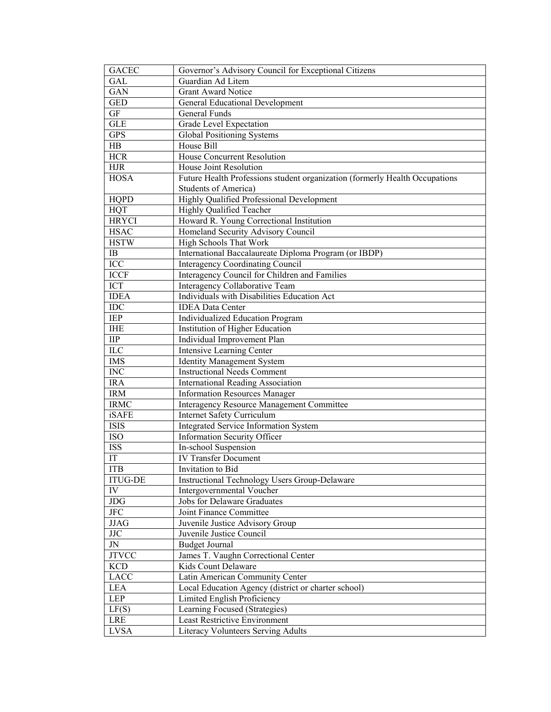| <b>GACEC</b>               | Governor's Advisory Council for Exceptional Citizens                        |
|----------------------------|-----------------------------------------------------------------------------|
| <b>GAL</b>                 | Guardian Ad Litem                                                           |
| <b>GAN</b>                 | <b>Grant Award Notice</b>                                                   |
| <b>GED</b>                 | General Educational Development                                             |
| <b>GF</b>                  | General Funds                                                               |
| <b>GLE</b>                 | Grade Level Expectation                                                     |
| <b>GPS</b>                 | <b>Global Positioning Systems</b>                                           |
| HB                         | House Bill                                                                  |
| <b>HCR</b>                 | House Concurrent Resolution                                                 |
| <b>HJR</b>                 | House Joint Resolution                                                      |
| <b>HOSA</b>                | Future Health Professions student organization (formerly Health Occupations |
|                            | Students of America)                                                        |
| <b>HQPD</b>                | Highly Qualified Professional Development                                   |
| HQT                        | Highly Qualified Teacher                                                    |
| <b>HRYCI</b>               | Howard R. Young Correctional Institution                                    |
| <b>HSAC</b>                | Homeland Security Advisory Council                                          |
| <b>HSTW</b>                | High Schools That Work                                                      |
| IB                         | International Baccalaureate Diploma Program (or IBDP)                       |
| ICC                        | <b>Interagency Coordinating Council</b>                                     |
| <b>ICCF</b>                | Interagency Council for Children and Families                               |
| ICT                        | Interagency Collaborative Team                                              |
| <b>IDEA</b>                | Individuals with Disabilities Education Act                                 |
| IDC                        | <b>IDEA Data Center</b>                                                     |
| IEP                        | Individualized Education Program                                            |
| <b>IHE</b>                 | Institution of Higher Education                                             |
| $\rm IIP$                  | Individual Improvement Plan                                                 |
| ILC                        | Intensive Learning Center                                                   |
| <b>IMS</b>                 | <b>Identity Management System</b>                                           |
| <b>INC</b>                 | <b>Instructional Needs Comment</b>                                          |
| <b>IRA</b>                 | International Reading Association                                           |
| <b>IRM</b>                 | <b>Information Resources Manager</b>                                        |
| <b>IRMC</b>                | Interagency Resource Management Committee                                   |
| iSAFE                      | <b>Internet Safety Curriculum</b>                                           |
| <b>ISIS</b>                | Integrated Service Information System                                       |
| <b>ISO</b>                 | <b>Information Security Officer</b>                                         |
| <b>ISS</b>                 | In-school Suspension                                                        |
| $\ensuremath{\mathsf{IT}}$ | <b>IV Transfer Document</b>                                                 |
| <b>ITB</b>                 | Invitation to Bid                                                           |
| <b>ITUG-DE</b>             | <b>Instructional Technology Users Group-Delaware</b>                        |
| IV                         | Intergovernmental Voucher                                                   |
| <b>JDG</b>                 | Jobs for Delaware Graduates                                                 |
| $_{\rm JFC}$               | Joint Finance Committee                                                     |
| <b>JJAG</b>                | Juvenile Justice Advisory Group                                             |
| JJC                        | Juvenile Justice Council                                                    |
| JN                         | <b>Budget Journal</b>                                                       |
| <b>JTVCC</b>               | James T. Vaughn Correctional Center                                         |
| <b>KCD</b>                 | Kids Count Delaware                                                         |
| <b>LACC</b>                | Latin American Community Center                                             |
| LEA                        | Local Education Agency (district or charter school)                         |
| LEP                        | Limited English Proficiency                                                 |
| LF(S)                      | Learning Focused (Strategies)                                               |
| LRE                        | <b>Least Restrictive Environment</b>                                        |
| <b>LVSA</b>                | Literacy Volunteers Serving Adults                                          |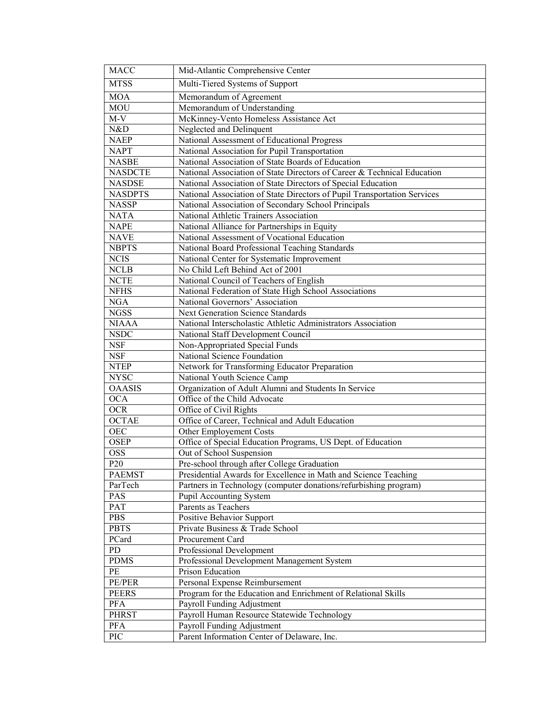| <b>MACC</b>     | Mid-Atlantic Comprehensive Center                                        |
|-----------------|--------------------------------------------------------------------------|
| <b>MTSS</b>     | Multi-Tiered Systems of Support                                          |
| <b>MOA</b>      | Memorandum of Agreement                                                  |
| <b>MOU</b>      | Memorandum of Understanding                                              |
| $M-V$           | McKinney-Vento Homeless Assistance Act                                   |
| N&D             | Neglected and Delinquent                                                 |
| <b>NAEP</b>     | National Assessment of Educational Progress                              |
| <b>NAPT</b>     | National Association for Pupil Transportation                            |
| <b>NASBE</b>    | National Association of State Boards of Education                        |
| <b>NASDCTE</b>  | National Association of State Directors of Career & Technical Education  |
| <b>NASDSE</b>   | National Association of State Directors of Special Education             |
| <b>NASDPTS</b>  | National Association of State Directors of Pupil Transportation Services |
| <b>NASSP</b>    | National Association of Secondary School Principals                      |
| <b>NATA</b>     | National Athletic Trainers Association                                   |
| <b>NAPE</b>     | National Alliance for Partnerships in Equity                             |
| <b>NAVE</b>     | National Assessment of Vocational Education                              |
| <b>NBPTS</b>    | National Board Professional Teaching Standards                           |
| <b>NCIS</b>     | National Center for Systematic Improvement                               |
| <b>NCLB</b>     | No Child Left Behind Act of 2001                                         |
| <b>NCTE</b>     | National Council of Teachers of English                                  |
| <b>NFHS</b>     | National Federation of State High School Associations                    |
| <b>NGA</b>      | National Governors' Association                                          |
| <b>NGSS</b>     | Next Generation Science Standards                                        |
| <b>NIAAA</b>    | National Interscholastic Athletic Administrators Association             |
| <b>NSDC</b>     | National Staff Development Council                                       |
| <b>NSF</b>      | Non-Appropriated Special Funds                                           |
| <b>NSF</b>      | National Science Foundation                                              |
| <b>NTEP</b>     | Network for Transforming Educator Preparation                            |
| <b>NYSC</b>     | National Youth Science Camp                                              |
| <b>OAASIS</b>   | Organization of Adult Alumni and Students In Service                     |
| <b>OCA</b>      | Office of the Child Advocate                                             |
| <b>OCR</b>      | Office of Civil Rights                                                   |
| <b>OCTAE</b>    | Office of Career, Technical and Adult Education                          |
| OEC             | Other Employement Costs                                                  |
| <b>OSEP</b>     | Office of Special Education Programs, US Dept. of Education              |
| <b>OSS</b>      | Out of School Suspension                                                 |
| P <sub>20</sub> | Pre-school through after College Graduation                              |
| <b>PAEMST</b>   | Presidential Awards for Excellence in Math and Science Teaching          |
| ParTech         | Partners in Technology (computer donations/refurbishing program)         |
| PAS             | Pupil Accounting System                                                  |
| PAT             | Parents as Teachers                                                      |
| PBS             | <b>Positive Behavior Support</b>                                         |
| <b>PBTS</b>     | Private Business & Trade School                                          |
| PCard           | Procurement Card                                                         |
| PD              | Professional Development                                                 |
| <b>PDMS</b>     | Professional Development Management System                               |
| PE              | Prison Education                                                         |
| PE/PER          | Personal Expense Reimbursement                                           |
| <b>PEERS</b>    | Program for the Education and Enrichment of Relational Skills            |
| <b>PFA</b>      | Payroll Funding Adjustment                                               |
| <b>PHRST</b>    | Payroll Human Resource Statewide Technology                              |
| <b>PFA</b>      | Payroll Funding Adjustment                                               |
| PIC             | Parent Information Center of Delaware, Inc.                              |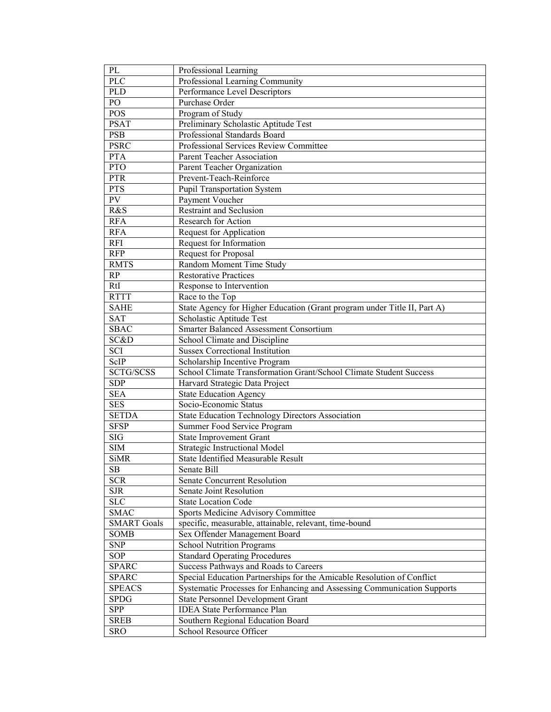| PL                 | Professional Learning                                                    |
|--------------------|--------------------------------------------------------------------------|
| <b>PLC</b>         | Professional Learning Community                                          |
| <b>PLD</b>         | Performance Level Descriptors                                            |
| PO                 | Purchase Order                                                           |
| POS                | Program of Study                                                         |
| <b>PSAT</b>        | Preliminary Scholastic Aptitude Test                                     |
| PSB                | Professional Standards Board                                             |
| <b>PSRC</b>        | Professional Services Review Committee                                   |
| <b>PTA</b>         | Parent Teacher Association                                               |
| PTO                | Parent Teacher Organization                                              |
| <b>PTR</b>         | Prevent-Teach-Reinforce                                                  |
| <b>PTS</b>         | <b>Pupil Transportation System</b>                                       |
| $\overline{PV}$    | Payment Voucher                                                          |
| R&S                | <b>Restraint and Seclusion</b>                                           |
| <b>RFA</b>         | Research for Action                                                      |
| <b>RFA</b>         | Request for Application                                                  |
| <b>RFI</b>         | Request for Information                                                  |
| <b>RFP</b>         | Request for Proposal                                                     |
| <b>RMTS</b>        | Random Moment Time Study                                                 |
| RP                 | <b>Restorative Practices</b>                                             |
| RtI                | Response to Intervention                                                 |
| <b>RTTT</b>        | Race to the Top                                                          |
| <b>SAHE</b>        | State Agency for Higher Education (Grant program under Title II, Part A) |
| <b>SAT</b>         | Scholastic Aptitude Test                                                 |
| <b>SBAC</b>        | Smarter Balanced Assessment Consortium                                   |
| SC&D               | School Climate and Discipline                                            |
| SCI                | <b>Sussex Correctional Institution</b>                                   |
| ScIP               | Scholarship Incentive Program                                            |
| SCTG/SCSS          | School Climate Transformation Grant/School Climate Student Success       |
| <b>SDP</b>         | Harvard Strategic Data Project                                           |
| <b>SEA</b>         | <b>State Education Agency</b>                                            |
| <b>SES</b>         | Socio-Economic Status                                                    |
| <b>SETDA</b>       | <b>State Education Technology Directors Association</b>                  |
| <b>SFSP</b>        | Summer Food Service Program                                              |
| SIG                | <b>State Improvement Grant</b>                                           |
| <b>SIM</b>         | Strategic Instructional Model                                            |
| <b>SiMR</b>        | State Identified Measurable Result                                       |
| $\rm SB$           | Senate Bill                                                              |
| <b>SCR</b>         | <b>Senate Concurrent Resolution</b>                                      |
| <b>SJR</b>         | Senate Joint Resolution                                                  |
| ${\rm SLC}$        | <b>State Location Code</b>                                               |
| <b>SMAC</b>        | Sports Medicine Advisory Committee                                       |
| <b>SMART</b> Goals | specific, measurable, attainable, relevant, time-bound                   |
| SOMB               | Sex Offender Management Board                                            |
|                    |                                                                          |
| <b>SNP</b>         | <b>School Nutrition Programs</b>                                         |
| <b>SOP</b>         | <b>Standard Operating Procedures</b>                                     |
| <b>SPARC</b>       | Success Pathways and Roads to Careers                                    |
| <b>SPARC</b>       | Special Education Partnerships for the Amicable Resolution of Conflict   |
| <b>SPEACS</b>      | Systematic Processes for Enhancing and Assessing Communication Supports  |
| <b>SPDG</b>        | <b>State Personnel Development Grant</b>                                 |
| SPP                | <b>IDEA State Performance Plan</b>                                       |
| <b>SREB</b>        | Southern Regional Education Board                                        |
| <b>SRO</b>         | School Resource Officer                                                  |